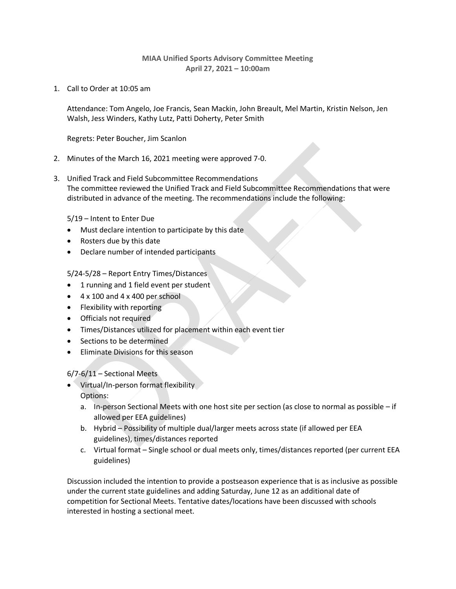## **MIAA Unified Sports Advisory Committee Meeting April 27, 2021 – 10:00am**

1. Call to Order at 10:05 am

Attendance: Tom Angelo, Joe Francis, Sean Mackin, John Breault, Mel Martin, Kristin Nelson, Jen Walsh, Jess Winders, Kathy Lutz, Patti Doherty, Peter Smith

Regrets: Peter Boucher, Jim Scanlon

- 2. Minutes of the March 16, 2021 meeting were approved 7-0.
- 3. Unified Track and Field Subcommittee Recommendations The committee reviewed the Unified Track and Field Subcommittee Recommendations that were distributed in advance of the meeting. The recommendations include the following:

5/19 – Intent to Enter Due

- Must declare intention to participate by this date
- Rosters due by this date
- Declare number of intended participants

5/24-5/28 – Report Entry Times/Distances

- 1 running and 1 field event per student
- $\bullet$  4 x 100 and 4 x 400 per school
- Flexibility with reporting
- Officials not required
- Times/Distances utilized for placement within each event tier
- Sections to be determined
- Eliminate Divisions for this season

6/7-6/11 – Sectional Meets

- Virtual/In-person format flexibility Options:
	- a. In-person Sectional Meets with one host site per section (as close to normal as possible if allowed per EEA guidelines)
	- b. Hybrid Possibility of multiple dual/larger meets across state (if allowed per EEA guidelines), times/distances reported
	- c. Virtual format Single school or dual meets only, times/distances reported (per current EEA guidelines)

Discussion included the intention to provide a postseason experience that is as inclusive as possible under the current state guidelines and adding Saturday, June 12 as an additional date of competition for Sectional Meets. Tentative dates/locations have been discussed with schools interested in hosting a sectional meet.